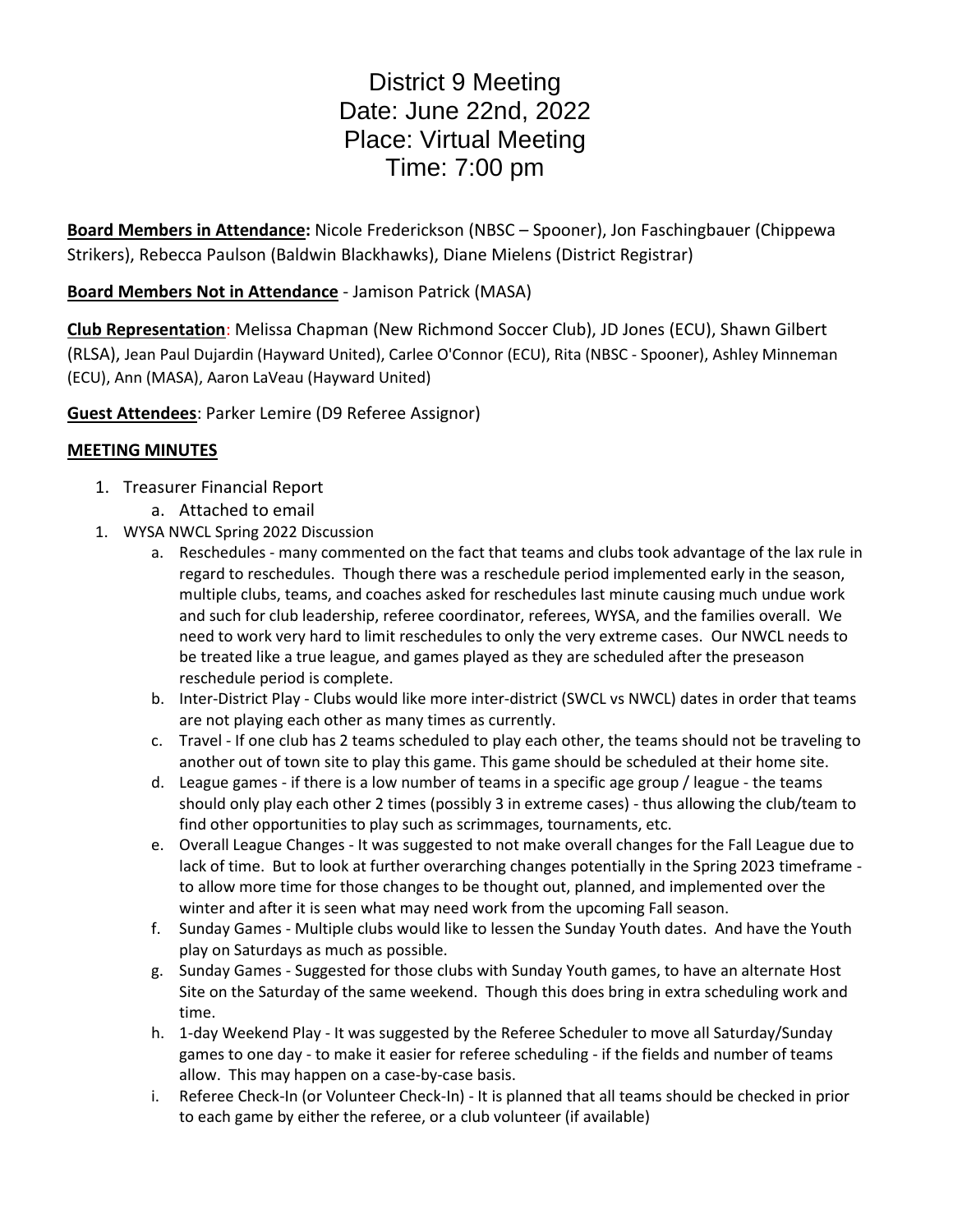## District 9 Meeting Date: June 22nd, 2022 Place: Virtual Meeting Time: 7:00 pm

**Board Members in Attendance:** Nicole Frederickson (NBSC – Spooner), Jon Faschingbauer (Chippewa Strikers), Rebecca Paulson (Baldwin Blackhawks), Diane Mielens (District Registrar)

## **Board Members Not in Attendance** - Jamison Patrick (MASA)

**Club Representation**: Melissa Chapman (New Richmond Soccer Club), JD Jones (ECU), Shawn Gilbert (RLSA), Jean Paul Dujardin (Hayward United), Carlee O'Connor (ECU), Rita (NBSC - Spooner), Ashley Minneman (ECU), Ann (MASA), Aaron LaVeau (Hayward United)

**Guest Attendees**: Parker Lemire (D9 Referee Assignor)

## **MEETING MINUTES**

- 1. Treasurer Financial Report
	- a. Attached to email
- 1. WYSA NWCL Spring 2022 Discussion
	- a. Reschedules many commented on the fact that teams and clubs took advantage of the lax rule in regard to reschedules. Though there was a reschedule period implemented early in the season, multiple clubs, teams, and coaches asked for reschedules last minute causing much undue work and such for club leadership, referee coordinator, referees, WYSA, and the families overall. We need to work very hard to limit reschedules to only the very extreme cases. Our NWCL needs to be treated like a true league, and games played as they are scheduled after the preseason reschedule period is complete.
	- b. Inter-District Play Clubs would like more inter-district (SWCL vs NWCL) dates in order that teams are not playing each other as many times as currently.
	- c. Travel If one club has 2 teams scheduled to play each other, the teams should not be traveling to another out of town site to play this game. This game should be scheduled at their home site.
	- d. League games if there is a low number of teams in a specific age group / league the teams should only play each other 2 times (possibly 3 in extreme cases) - thus allowing the club/team to find other opportunities to play such as scrimmages, tournaments, etc.
	- e. Overall League Changes It was suggested to not make overall changes for the Fall League due to lack of time. But to look at further overarching changes potentially in the Spring 2023 timeframe to allow more time for those changes to be thought out, planned, and implemented over the winter and after it is seen what may need work from the upcoming Fall season.
	- f. Sunday Games Multiple clubs would like to lessen the Sunday Youth dates. And have the Youth play on Saturdays as much as possible.
	- g. Sunday Games Suggested for those clubs with Sunday Youth games, to have an alternate Host Site on the Saturday of the same weekend. Though this does bring in extra scheduling work and time.
	- h. 1-day Weekend Play It was suggested by the Referee Scheduler to move all Saturday/Sunday games to one day - to make it easier for referee scheduling - if the fields and number of teams allow. This may happen on a case-by-case basis.
	- i. Referee Check-In (or Volunteer Check-In) It is planned that all teams should be checked in prior to each game by either the referee, or a club volunteer (if available)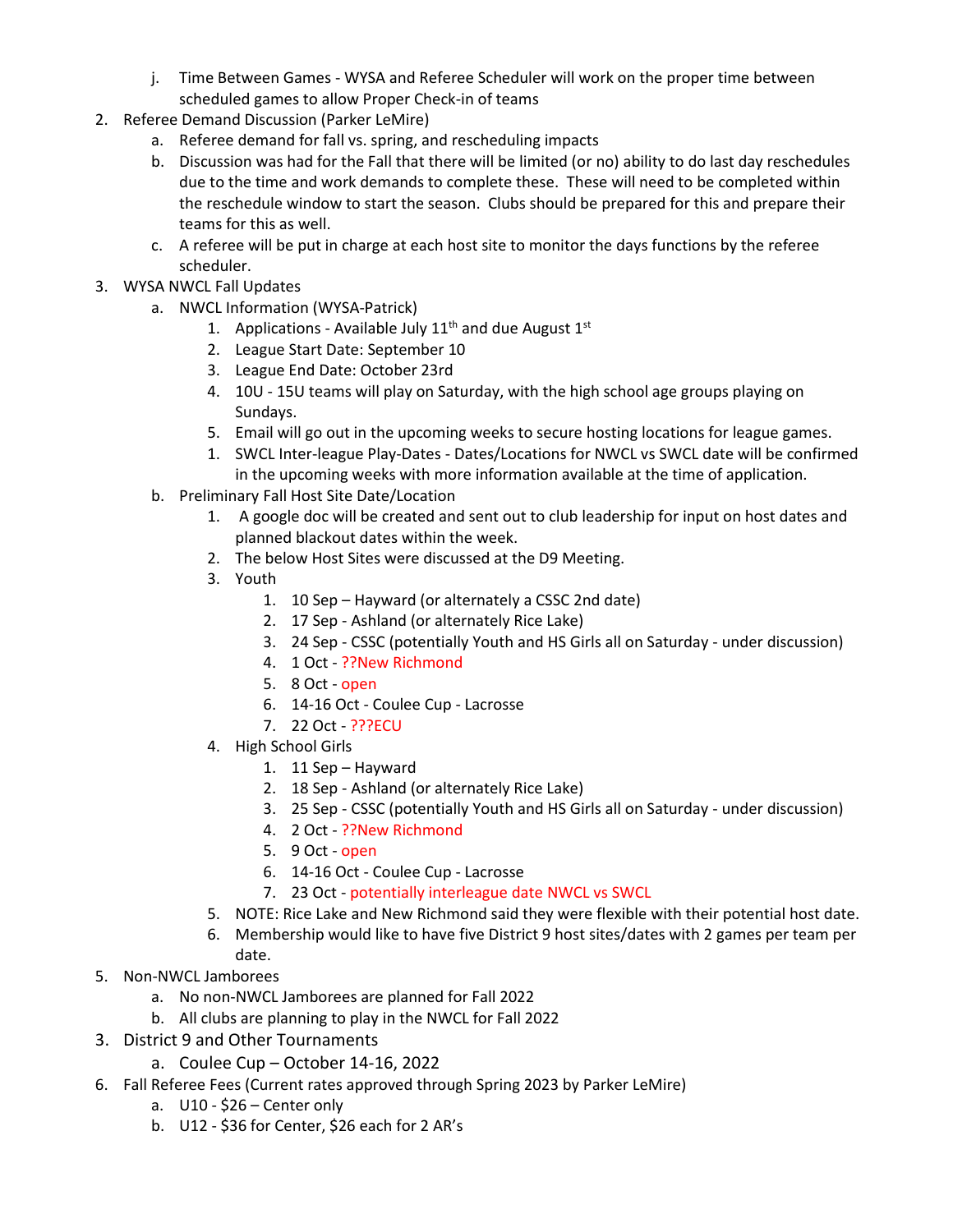- j. Time Between Games WYSA and Referee Scheduler will work on the proper time between scheduled games to allow Proper Check-in of teams
- 2. Referee Demand Discussion (Parker LeMire)
	- a. Referee demand for fall vs. spring, and rescheduling impacts
	- b. Discussion was had for the Fall that there will be limited (or no) ability to do last day reschedules due to the time and work demands to complete these. These will need to be completed within the reschedule window to start the season. Clubs should be prepared for this and prepare their teams for this as well.
	- c. A referee will be put in charge at each host site to monitor the days functions by the referee scheduler.
- 3. WYSA NWCL Fall Updates
	- a. NWCL Information (WYSA-Patrick)
		- 1. Applications Available July  $11<sup>th</sup>$  and due August  $1<sup>st</sup>$
		- 2. League Start Date: September 10
		- 3. League End Date: October 23rd
		- 4. 10U 15U teams will play on Saturday, with the high school age groups playing on Sundays.
		- 5. Email will go out in the upcoming weeks to secure hosting locations for league games.
		- 1. SWCL Inter-league Play-Dates Dates/Locations for NWCL vs SWCL date will be confirmed in the upcoming weeks with more information available at the time of application.
	- b. Preliminary Fall Host Site Date/Location
		- 1. A google doc will be created and sent out to club leadership for input on host dates and planned blackout dates within the week.
		- 2. The below Host Sites were discussed at the D9 Meeting.
		- 3. Youth
			- 1. 10 Sep Hayward (or alternately a CSSC 2nd date)
			- 2. 17 Sep Ashland (or alternately Rice Lake)
			- 3. 24 Sep CSSC (potentially Youth and HS Girls all on Saturday under discussion)
			- 4. 1 Oct ??New Richmond
			- 5. 8 Oct open
			- 6. 14-16 Oct Coulee Cup Lacrosse
			- 7. 22 Oct ???ECU
		- 4. High School Girls
			- 1. 11 Sep Hayward
			- 2. 18 Sep Ashland (or alternately Rice Lake)
			- 3. 25 Sep CSSC (potentially Youth and HS Girls all on Saturday under discussion)
			- 4. 2 Oct ??New Richmond
			- 5. 9 Oct open
			- 6. 14-16 Oct Coulee Cup Lacrosse
			- 7. 23 Oct potentially interleague date NWCL vs SWCL
		- 5. NOTE: Rice Lake and New Richmond said they were flexible with their potential host date.
		- 6. Membership would like to have five District 9 host sites/dates with 2 games per team per date.
- 5. Non-NWCL Jamborees
	- a. No non-NWCL Jamborees are planned for Fall 2022
	- b. All clubs are planning to play in the NWCL for Fall 2022
- 3. District 9 and Other Tournaments
	- a. Coulee Cup October 14-16, 2022
- 6. Fall Referee Fees (Current rates approved through Spring 2023 by Parker LeMire)
	- a. U10 \$26 Center only
	- b. U12 \$36 for Center, \$26 each for 2 AR's